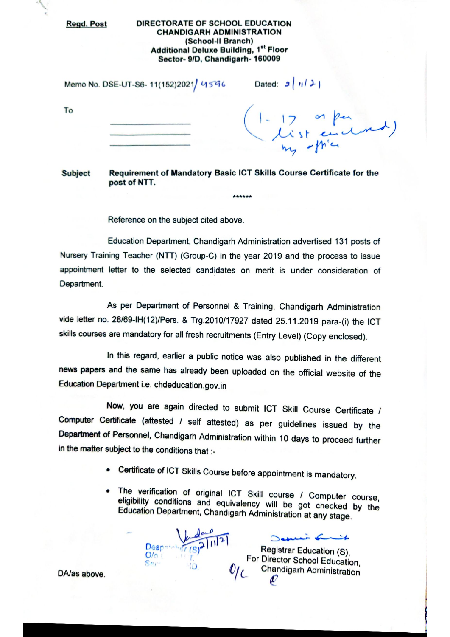**Regd. Post** 

## DIRECTORATE OF SCHOOL EDUCATION **CHANDIGARH ADMINISTRATION** (School-II Branch) **Additional Deluxe Building, 1st Floor** Sector- 9/D, Chandigarh- 160009

Memo No. DSE-UT-S6-11(152)2021/ 4596 Dated:  $9|113|$ 

To

| (1-17 or percent) |
|-------------------|
|                   |

\*\*\*\*\*\*

Requirement of Mandatory Basic ICT Skills Course Certificate for the **Subject** post of NTT.

Reference on the subject cited above.

Education Department, Chandigarh Administration advertised 131 posts of Nursery Training Teacher (NTT) (Group-C) in the year 2019 and the process to issue appointment letter to the selected candidates on merit is under consideration of Department.

As per Department of Personnel & Training, Chandigarh Administration vide letter no. 28/69-IH(12)/Pers. & Trg.2010/17927 dated 25.11.2019 para-(i) the ICT skills courses are mandatory for all fresh recruitments (Entry Level) (Copy enclosed).

In this regard, earlier a public notice was also published in the different news papers and the same has already been uploaded on the official website of the Education Department i.e. chdeducation.gov.in

Now, you are again directed to submit ICT Skill Course Certificate / Computer Certificate (attested / self attested) as per guidelines issued by the Department of Personnel, Chandigarh Administration within 10 days to proceed further in the matter subject to the conditions that :-

- Certificate of ICT Skills Course before appointment is mandatory.
- The verification of original ICT Skill course / Computer course, eligibility conditions and equivalency will be got checked by the Education Department, Chandigarh Administration at any stage.

Despa  $O/O$ Ser  $-1D$ 

Registrar Education (S). For Director School Education, **Chandigarh Administration** D

in finit

DA/as above.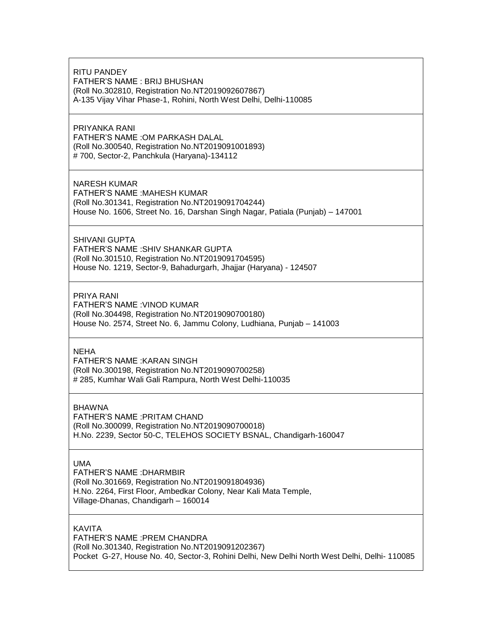RITU PANDEY FATHER'S NAME : BRIJ BHUSHAN (Roll No.302810, Registration No.NT2019092607867) A-135 Vijay Vihar Phase-1, Rohini, North West Delhi, Delhi-110085

PRIYANKA RANI FATHER'S NAME :OM PARKASH DALAL (Roll No.300540, Registration No.NT2019091001893) # 700, Sector-2, Panchkula (Haryana)-134112

NARESH KUMAR FATHER'S NAME :MAHESH KUMAR (Roll No.301341, Registration No.NT2019091704244) House No. 1606, Street No. 16, Darshan Singh Nagar, Patiala (Punjab) – 147001

SHIVANI GUPTA FATHER'S NAME :SHIV SHANKAR GUPTA (Roll No.301510, Registration No.NT2019091704595) House No. 1219, Sector-9, Bahadurgarh, Jhajjar (Haryana) - 124507

PRIYA RANI FATHER'S NAME :VINOD KUMAR (Roll No.304498, Registration No.NT2019090700180) House No. 2574, Street No. 6, Jammu Colony, Ludhiana, Punjab – 141003

**NEHA** 

FATHER'S NAME :KARAN SINGH (Roll No.300198, Registration No.NT2019090700258) # 285, Kumhar Wali Gali Rampura, North West Delhi-110035

BHAWNA

FATHER'S NAME :PRITAM CHAND (Roll No.300099, Registration No.NT2019090700018) H.No. 2239, Sector 50-C, TELEHOS SOCIETY BSNAL, Chandigarh-160047

UMA

FATHER'S NAME :DHARMBIR (Roll No.301669, Registration No.NT2019091804936) H.No. 2264, First Floor, Ambedkar Colony, Near Kali Mata Temple, Village-Dhanas, Chandigarh – 160014

KAVITA

FATHER'S NAME :PREM CHANDRA (Roll No.301340, Registration No.NT2019091202367) Pocket G-27, House No. 40, Sector-3, Rohini Delhi, New Delhi North West Delhi, Delhi- 110085